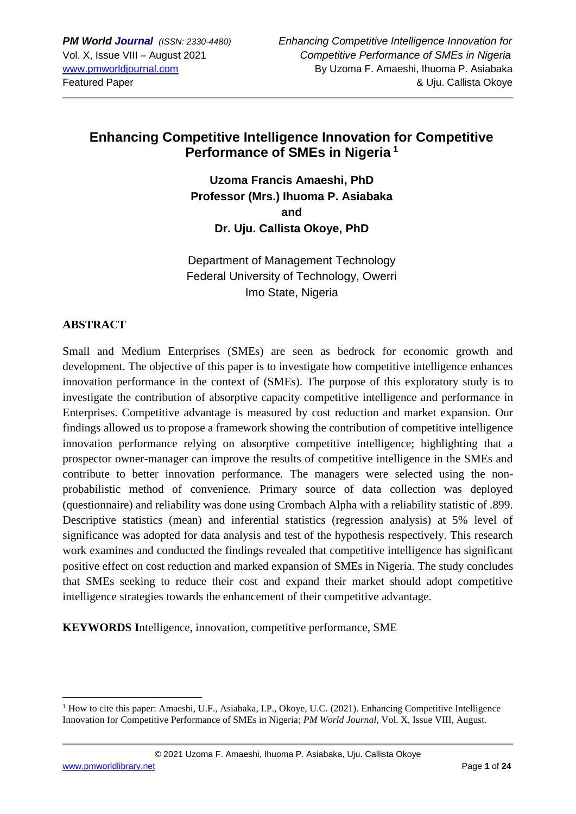# **Enhancing Competitive Intelligence Innovation for Competitive Performance of SMEs in Nigeria <sup>1</sup>**

**Uzoma Francis Amaeshi, PhD Professor (Mrs.) Ihuoma P. Asiabaka and Dr. Uju. Callista Okoye, PhD**

Department of Management Technology Federal University of Technology, Owerri Imo State, Nigeria

## **ABSTRACT**

Small and Medium Enterprises (SMEs) are seen as bedrock for economic growth and development. The objective of this paper is to investigate how competitive intelligence enhances innovation performance in the context of (SMEs). The purpose of this exploratory study is to investigate the contribution of absorptive capacity competitive intelligence and performance in Enterprises. Competitive advantage is measured by cost reduction and market expansion. Our findings allowed us to propose a framework showing the contribution of competitive intelligence innovation performance relying on absorptive competitive intelligence; highlighting that a prospector owner-manager can improve the results of competitive intelligence in the SMEs and contribute to better innovation performance. The managers were selected using the nonprobabilistic method of convenience. Primary source of data collection was deployed (questionnaire) and reliability was done using Crombach Alpha with a reliability statistic of .899. Descriptive statistics (mean) and inferential statistics (regression analysis) at 5% level of significance was adopted for data analysis and test of the hypothesis respectively. This research work examines and conducted the findings revealed that competitive intelligence has significant positive effect on cost reduction and marked expansion of SMEs in Nigeria. The study concludes that SMEs seeking to reduce their cost and expand their market should adopt competitive intelligence strategies towards the enhancement of their competitive advantage.

**KEYWORDS I**ntelligence, innovation, competitive performance, SME

<sup>&</sup>lt;sup>1</sup> How to cite this paper: Amaeshi, U.F., Asiabaka, I.P., Okoye, U.C. (2021). Enhancing Competitive Intelligence Innovation for Competitive Performance of SMEs in Nigeria; *PM World Journal*, Vol. X, Issue VIII, August.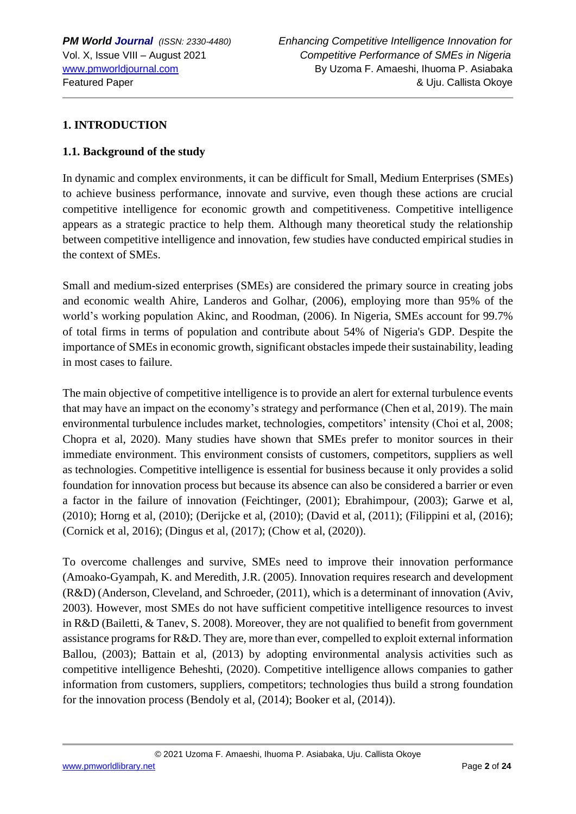## **1. INTRODUCTION**

## **1.1. Background of the study**

In dynamic and complex environments, it can be difficult for Small, Medium Enterprises (SMEs) to achieve business performance, innovate and survive, even though these actions are crucial competitive intelligence for economic growth and competitiveness. Competitive intelligence appears as a strategic practice to help them. Although many theoretical study the relationship between competitive intelligence and innovation, few studies have conducted empirical studies in the context of SMEs.

Small and medium-sized enterprises (SMEs) are considered the primary source in creating jobs and economic wealth Ahire, Landeros and Golhar, (2006), employing more than 95% of the world's working population Akinc, and Roodman, (2006). In Nigeria, SMEs account for 99.7% of total firms in terms of population and contribute about 54% of Nigeria's GDP. Despite the importance of SMEs in economic growth, significant obstacles impede their sustainability, leading in most cases to failure.

The main objective of competitive intelligence is to provide an alert for external turbulence events that may have an impact on the economy's strategy and performance (Chen et al, 2019). The main environmental turbulence includes market, technologies, competitors' intensity (Choi et al, 2008; Chopra et al, 2020). Many studies have shown that SMEs prefer to monitor sources in their immediate environment. This environment consists of customers, competitors, suppliers as well as technologies. Competitive intelligence is essential for business because it only provides a solid foundation for innovation process but because its absence can also be considered a barrier or even a factor in the failure of innovation (Feichtinger, (2001); Ebrahimpour, (2003); Garwe et al, (2010); Horng et al, (2010); (Derijcke et al, (2010); (David et al, (2011); (Filippini et al, (2016); (Cornick et al, 2016); (Dingus et al, (2017); (Chow et al, (2020)).

To overcome challenges and survive, SMEs need to improve their innovation performance (Amoako-Gyampah, K. and Meredith, J.R. (2005). Innovation requires research and development (R&D) (Anderson, Cleveland, and Schroeder, (2011), which is a determinant of innovation (Aviv, 2003). However, most SMEs do not have sufficient competitive intelligence resources to invest in R&D (Bailetti, & Tanev, S. 2008). Moreover, they are not qualified to benefit from government assistance programs for R&D. They are, more than ever, compelled to exploit external information Ballou, (2003); Battain et al, (2013) by adopting environmental analysis activities such as competitive intelligence Beheshti, (2020). Competitive intelligence allows companies to gather information from customers, suppliers, competitors; technologies thus build a strong foundation for the innovation process (Bendoly et al, (2014); Booker et al, (2014)).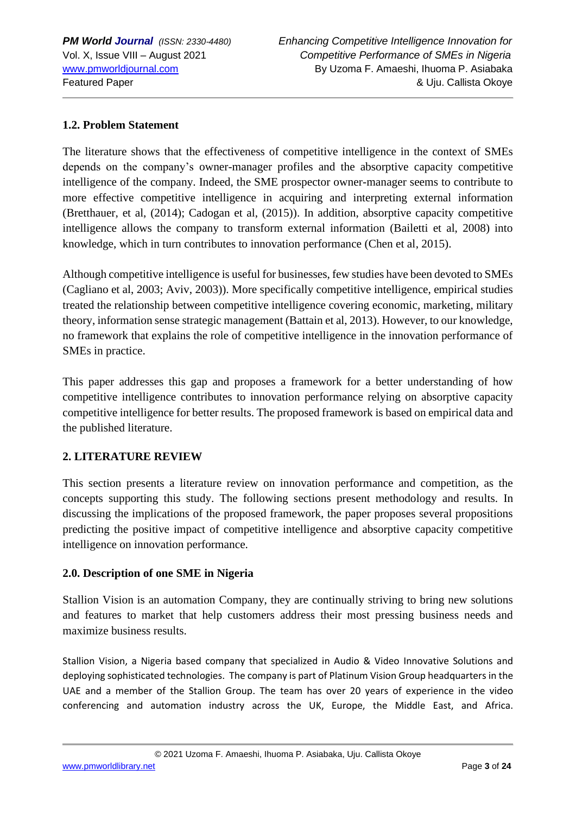## **1.2. Problem Statement**

The literature shows that the effectiveness of competitive intelligence in the context of SMEs depends on the company's owner-manager profiles and the absorptive capacity competitive intelligence of the company. Indeed, the SME prospector owner-manager seems to contribute to more effective competitive intelligence in acquiring and interpreting external information (Bretthauer, et al, (2014); Cadogan et al, (2015)). In addition, absorptive capacity competitive intelligence allows the company to transform external information (Bailetti et al, 2008) into knowledge, which in turn contributes to innovation performance (Chen et al, 2015).

Although competitive intelligence is useful for businesses, few studies have been devoted to SMEs (Cagliano et al, 2003; Aviv, 2003)). More specifically competitive intelligence, empirical studies treated the relationship between competitive intelligence covering economic, marketing, military theory, information sense strategic management (Battain et al, 2013). However, to our knowledge, no framework that explains the role of competitive intelligence in the innovation performance of SMEs in practice.

This paper addresses this gap and proposes a framework for a better understanding of how competitive intelligence contributes to innovation performance relying on absorptive capacity competitive intelligence for better results. The proposed framework is based on empirical data and the published literature.

#### **2. LITERATURE REVIEW**

This section presents a literature review on innovation performance and competition, as the concepts supporting this study. The following sections present methodology and results. In discussing the implications of the proposed framework, the paper proposes several propositions predicting the positive impact of competitive intelligence and absorptive capacity competitive intelligence on innovation performance.

#### **2.0. Description of one SME in Nigeria**

Stallion Vision is an automation Company, they are continually striving to bring new solutions and features to market that help customers address their most pressing business needs and maximize business results.

Stallion Vision, a Nigeria based company that specialized in Audio & Video Innovative Solutions and deploying sophisticated technologies. The company is part of Platinum Vision Group headquarters in the UAE and a member of the Stallion Group. The team has over 20 years of experience in the video conferencing and automation industry across the UK, Europe, the Middle East, and Africa.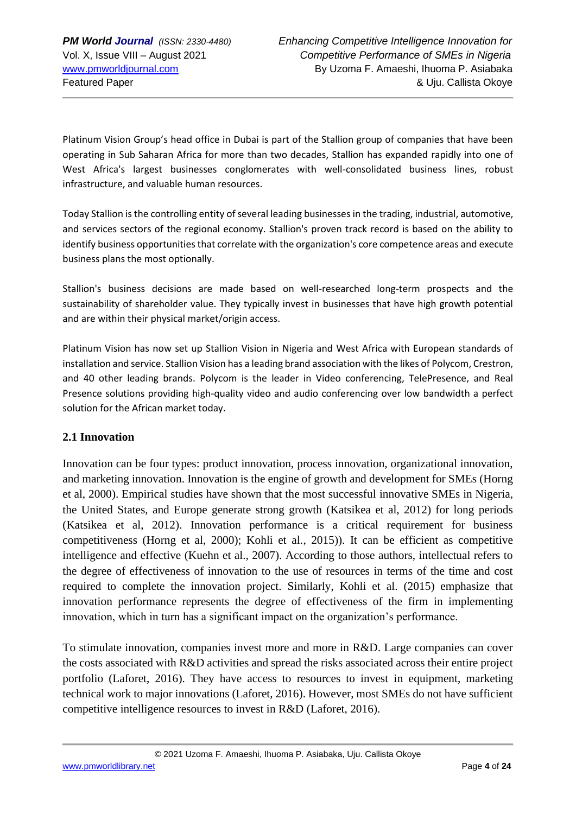Platinum Vision Group's head office in Dubai is part of the Stallion group of companies that have been operating in Sub Saharan Africa for more than two decades, Stallion has expanded rapidly into one of West Africa's largest businesses conglomerates with well-consolidated business lines, robust infrastructure, and valuable human resources.

Today Stallion is the controlling entity of several leading businesses in the trading, industrial, automotive, and services sectors of the regional economy. Stallion's proven track record is based on the ability to identify business opportunities that correlate with the organization's core competence areas and execute business plans the most optionally.

Stallion's business decisions are made based on well-researched long-term prospects and the sustainability of shareholder value. They typically invest in businesses that have high growth potential and are within their physical market/origin access.

Platinum Vision has now set up Stallion Vision in Nigeria and West Africa with European standards of installation and service. Stallion Vision has a leading brand association with the likes of Polycom, Crestron, and 40 other leading brands. Polycom is the leader in Video conferencing, TelePresence, and Real Presence solutions providing high-quality video and audio conferencing over low bandwidth a perfect solution for the African market today.

#### **2.1 Innovation**

Innovation can be four types: product innovation, process innovation, organizational innovation, and marketing innovation. Innovation is the engine of growth and development for SMEs (Horng et al, 2000). Empirical studies have shown that the most successful innovative SMEs in Nigeria, the United States, and Europe generate strong growth (Katsikea et al, 2012) for long periods (Katsikea et al, 2012). Innovation performance is a critical requirement for business competitiveness (Horng et al, 2000); Kohli et al*.*, 2015)). It can be efficient as competitive intelligence and effective (Kuehn et al., 2007). According to those authors, intellectual refers to the degree of effectiveness of innovation to the use of resources in terms of the time and cost required to complete the innovation project. Similarly, Kohli et al. (2015) emphasize that innovation performance represents the degree of effectiveness of the firm in implementing innovation, which in turn has a significant impact on the organization's performance.

To stimulate innovation, companies invest more and more in R&D. Large companies can cover the costs associated with R&D activities and spread the risks associated across their entire project portfolio (Laforet, 2016). They have access to resources to invest in equipment, marketing technical work to major innovations (Laforet, 2016). However, most SMEs do not have sufficient competitive intelligence resources to invest in R&D (Laforet, 2016).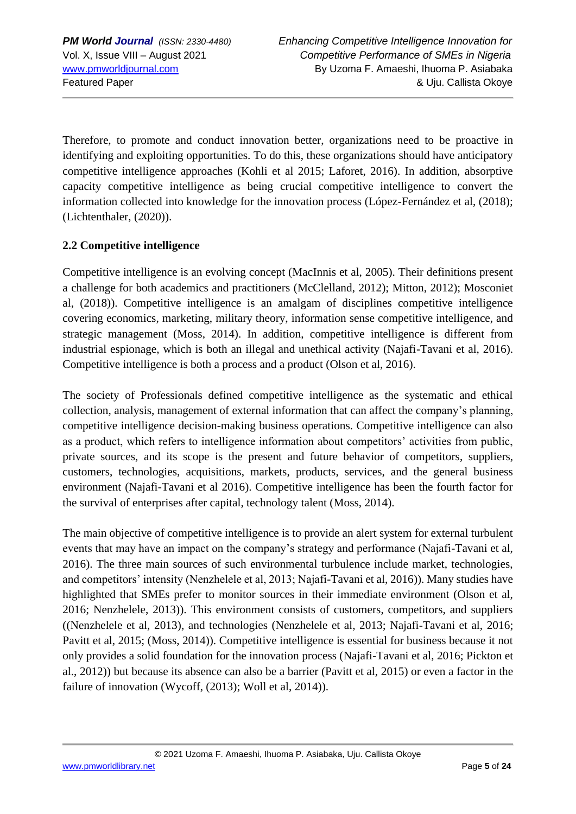Therefore, to promote and conduct innovation better, organizations need to be proactive in identifying and exploiting opportunities. To do this, these organizations should have anticipatory competitive intelligence approaches (Kohli et al 2015; Laforet, 2016). In addition, absorptive capacity competitive intelligence as being crucial competitive intelligence to convert the information collected into knowledge for the innovation process (López-Fernández et al, (2018); (Lichtenthaler, (2020)).

## **2.2 Competitive intelligence**

Competitive intelligence is an evolving concept (MacInnis et al, 2005). Their definitions present a challenge for both academics and practitioners (McClelland, 2012); Mitton, 2012); Mosconiet al, (2018)). Competitive intelligence is an amalgam of disciplines competitive intelligence covering economics, marketing, military theory, information sense competitive intelligence, and strategic management (Moss, 2014). In addition, competitive intelligence is different from industrial espionage, which is both an illegal and unethical activity (Najafi-Tavani et al, 2016). Competitive intelligence is both a process and a product (Olson et al, 2016).

The society of Professionals defined competitive intelligence as the systematic and ethical collection, analysis, management of external information that can affect the company's planning, competitive intelligence decision-making business operations. Competitive intelligence can also as a product, which refers to intelligence information about competitors' activities from public, private sources, and its scope is the present and future behavior of competitors, suppliers, customers, technologies, acquisitions, markets, products, services, and the general business environment (Najafi-Tavani et al 2016). Competitive intelligence has been the fourth factor for the survival of enterprises after capital, technology talent (Moss, 2014).

The main objective of competitive intelligence is to provide an alert system for external turbulent events that may have an impact on the company's strategy and performance (Najafi-Tavani et al, 2016). The three main sources of such environmental turbulence include market, technologies, and competitors' intensity (Nenzhelele et al, 2013; Najafi-Tavani et al, 2016)). Many studies have highlighted that SMEs prefer to monitor sources in their immediate environment (Olson et al, 2016; Nenzhelele, 2013)). This environment consists of customers, competitors, and suppliers ((Nenzhelele et al, 2013), and technologies (Nenzhelele et al, 2013; Najafi-Tavani et al, 2016; Pavitt et al, 2015; (Moss, 2014)). Competitive intelligence is essential for business because it not only provides a solid foundation for the innovation process (Najafi-Tavani et al, 2016; Pickton et al., 2012)) but because its absence can also be a barrier (Pavitt et al, 2015) or even a factor in the failure of innovation (Wycoff, (2013); Woll et al, 2014)).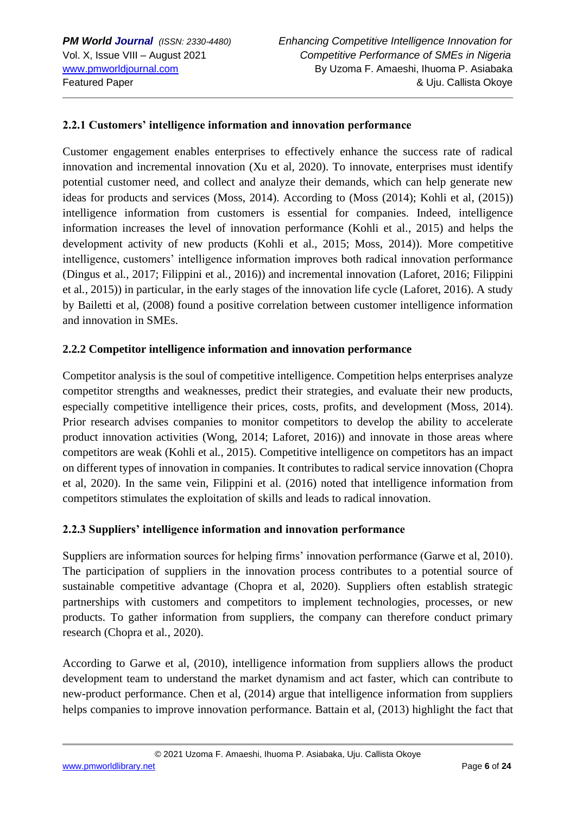#### **2.2.1 Customers' intelligence information and innovation performance**

Customer engagement enables enterprises to effectively enhance the success rate of radical innovation and incremental innovation (Xu et al, 2020). To innovate, enterprises must identify potential customer need, and collect and analyze their demands, which can help generate new ideas for products and services (Moss, 2014). According to (Moss (2014); Kohli et al, (2015)) intelligence information from customers is essential for companies. Indeed, intelligence information increases the level of innovation performance (Kohli et al*.*, 2015) and helps the development activity of new products (Kohli et al., 2015; Moss, 2014)). More competitive intelligence, customers' intelligence information improves both radical innovation performance (Dingus et al*.*, 2017; Filippini et al*.*, 2016)) and incremental innovation (Laforet, 2016; Filippini et al*.,* 2015)) in particular, in the early stages of the innovation life cycle (Laforet, 2016). A study by Bailetti et al, (2008) found a positive correlation between customer intelligence information and innovation in SMEs.

#### **2.2.2 Competitor intelligence information and innovation performance**

Competitor analysis is the soul of competitive intelligence. Competition helps enterprises analyze competitor strengths and weaknesses, predict their strategies, and evaluate their new products, especially competitive intelligence their prices, costs, profits, and development (Moss, 2014). Prior research advises companies to monitor competitors to develop the ability to accelerate product innovation activities (Wong, 2014; Laforet, 2016)) and innovate in those areas where competitors are weak (Kohli et al*.*, 2015). Competitive intelligence on competitors has an impact on different types of innovation in companies. It contributes to radical service innovation (Chopra et al, 2020). In the same vein, Filippini et al. (2016) noted that intelligence information from competitors stimulates the exploitation of skills and leads to radical innovation.

#### **2.2.3 Suppliers' intelligence information and innovation performance**

Suppliers are information sources for helping firms' innovation performance (Garwe et al, 2010). The participation of suppliers in the innovation process contributes to a potential source of sustainable competitive advantage (Chopra et al, 2020). Suppliers often establish strategic partnerships with customers and competitors to implement technologies, processes, or new products. To gather information from suppliers, the company can therefore conduct primary research (Chopra et al*.*, 2020).

According to Garwe et al, (2010), intelligence information from suppliers allows the product development team to understand the market dynamism and act faster, which can contribute to new-product performance. Chen et al, (2014) argue that intelligence information from suppliers helps companies to improve innovation performance. Battain et al, (2013) highlight the fact that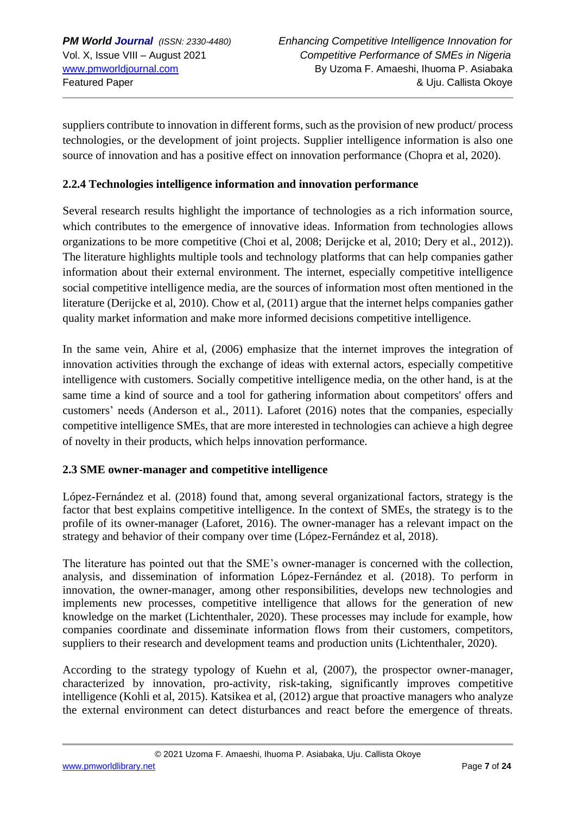suppliers contribute to innovation in different forms, such as the provision of new product/ process technologies, or the development of joint projects. Supplier intelligence information is also one source of innovation and has a positive effect on innovation performance (Chopra et al, 2020).

#### **2.2.4 Technologies intelligence information and innovation performance**

Several research results highlight the importance of technologies as a rich information source, which contributes to the emergence of innovative ideas. Information from technologies allows organizations to be more competitive (Choi et al, 2008; Derijcke et al, 2010; Dery et al., 2012)). The literature highlights multiple tools and technology platforms that can help companies gather information about their external environment. The internet, especially competitive intelligence social competitive intelligence media, are the sources of information most often mentioned in the literature (Derijcke et al, 2010). Chow et al, (2011) argue that the internet helps companies gather quality market information and make more informed decisions competitive intelligence.

In the same vein, Ahire et al, (2006) emphasize that the internet improves the integration of innovation activities through the exchange of ideas with external actors, especially competitive intelligence with customers. Socially competitive intelligence media, on the other hand, is at the same time a kind of source and a tool for gathering information about competitors' offers and customers' needs (Anderson et al*.*, 2011). Laforet (2016) notes that the companies, especially competitive intelligence SMEs, that are more interested in technologies can achieve a high degree of novelty in their products, which helps innovation performance.

## **2.3 SME owner-manager and competitive intelligence**

López-Fernández et al*.* (2018) found that, among several organizational factors, strategy is the factor that best explains competitive intelligence. In the context of SMEs, the strategy is to the profile of its owner-manager (Laforet, 2016). The owner-manager has a relevant impact on the strategy and behavior of their company over time (López-Fernández et al, 2018).

The literature has pointed out that the SME's owner-manager is concerned with the collection, analysis, and dissemination of information López-Fernández et al*.* (2018). To perform in innovation, the owner-manager, among other responsibilities, develops new technologies and implements new processes, competitive intelligence that allows for the generation of new knowledge on the market (Lichtenthaler, 2020). These processes may include for example, how companies coordinate and disseminate information flows from their customers, competitors, suppliers to their research and development teams and production units (Lichtenthaler, 2020).

According to the strategy typology of Kuehn et al, (2007), the prospector owner-manager, characterized by innovation, pro-activity, risk-taking, significantly improves competitive intelligence (Kohli et al, 2015). Katsikea et al, (2012) argue that proactive managers who analyze the external environment can detect disturbances and react before the emergence of threats.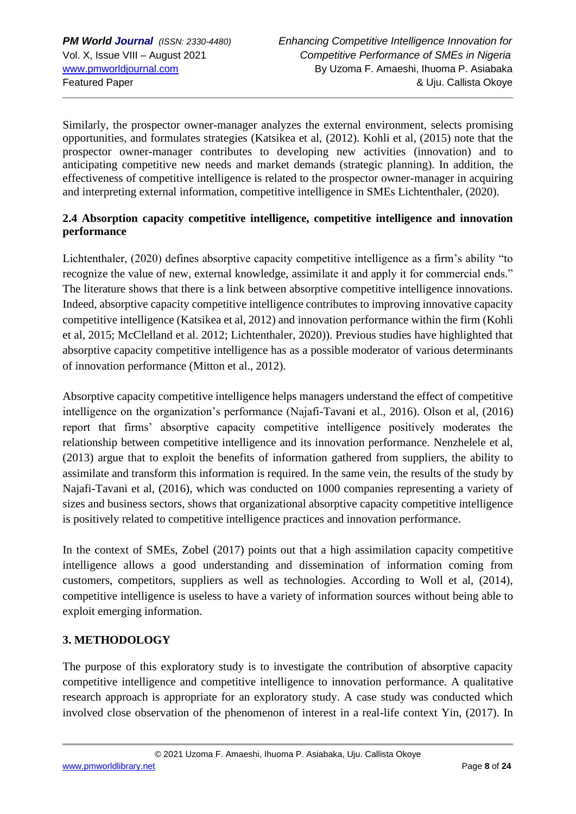Similarly, the prospector owner-manager analyzes the external environment, selects promising opportunities, and formulates strategies (Katsikea et al, (2012). Kohli et al, (2015) note that the prospector owner-manager contributes to developing new activities (innovation) and to anticipating competitive new needs and market demands (strategic planning). In addition, the effectiveness of competitive intelligence is related to the prospector owner-manager in acquiring and interpreting external information, competitive intelligence in SMEs Lichtenthaler, (2020).

## **2.4 Absorption capacity competitive intelligence, competitive intelligence and innovation performance**

Lichtenthaler, (2020) defines absorptive capacity competitive intelligence as a firm's ability "to recognize the value of new, external knowledge, assimilate it and apply it for commercial ends." The literature shows that there is a link between absorptive competitive intelligence innovations. Indeed, absorptive capacity competitive intelligence contributes to improving innovative capacity competitive intelligence (Katsikea et al, 2012) and innovation performance within the firm (Kohli et al, 2015; McClelland et al. 2012; Lichtenthaler, 2020)). Previous studies have highlighted that absorptive capacity competitive intelligence has as a possible moderator of various determinants of innovation performance (Mitton et al., 2012).

Absorptive capacity competitive intelligence helps managers understand the effect of competitive intelligence on the organization's performance (Najafi-Tavani et al., 2016). Olson et al, (2016) report that firms' absorptive capacity competitive intelligence positively moderates the relationship between competitive intelligence and its innovation performance. Nenzhelele et al, (2013) argue that to exploit the benefits of information gathered from suppliers, the ability to assimilate and transform this information is required. In the same vein, the results of the study by Najafi-Tavani et al, (2016), which was conducted on 1000 companies representing a variety of sizes and business sectors, shows that organizational absorptive capacity competitive intelligence is positively related to competitive intelligence practices and innovation performance.

In the context of SMEs, Zobel (2017) points out that a high assimilation capacity competitive intelligence allows a good understanding and dissemination of information coming from customers, competitors, suppliers as well as technologies. According to Woll et al, (2014), competitive intelligence is useless to have a variety of information sources without being able to exploit emerging information.

## **3. METHODOLOGY**

The purpose of this exploratory study is to investigate the contribution of absorptive capacity competitive intelligence and competitive intelligence to innovation performance. A qualitative research approach is appropriate for an exploratory study. A case study was conducted which involved close observation of the phenomenon of interest in a real-life context Yin, (2017). In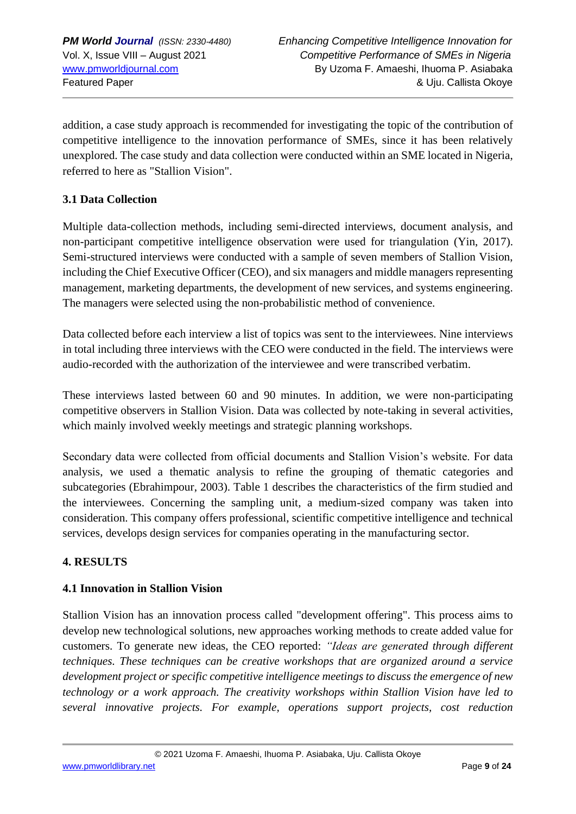addition, a case study approach is recommended for investigating the topic of the contribution of competitive intelligence to the innovation performance of SMEs, since it has been relatively unexplored. The case study and data collection were conducted within an SME located in Nigeria, referred to here as "Stallion Vision".

#### **3.1 Data Collection**

Multiple data-collection methods, including semi-directed interviews, document analysis, and non-participant competitive intelligence observation were used for triangulation (Yin, 2017). Semi-structured interviews were conducted with a sample of seven members of Stallion Vision, including the Chief Executive Officer (CEO), and six managers and middle managers representing management, marketing departments, the development of new services, and systems engineering. The managers were selected using the non-probabilistic method of convenience.

Data collected before each interview a list of topics was sent to the interviewees. Nine interviews in total including three interviews with the CEO were conducted in the field. The interviews were audio-recorded with the authorization of the interviewee and were transcribed verbatim.

These interviews lasted between 60 and 90 minutes. In addition, we were non-participating competitive observers in Stallion Vision. Data was collected by note-taking in several activities, which mainly involved weekly meetings and strategic planning workshops.

Secondary data were collected from official documents and Stallion Vision's website. For data analysis, we used a thematic analysis to refine the grouping of thematic categories and subcategories (Ebrahimpour, 2003). Table 1 describes the characteristics of the firm studied and the interviewees. Concerning the sampling unit, a medium-sized company was taken into consideration. This company offers professional, scientific competitive intelligence and technical services, develops design services for companies operating in the manufacturing sector.

#### **4. RESULTS**

#### **4.1 Innovation in Stallion Vision**

Stallion Vision has an innovation process called "development offering". This process aims to develop new technological solutions, new approaches working methods to create added value for customers. To generate new ideas, the CEO reported: *"Ideas are generated through different techniques. These techniques can be creative workshops that are organized around a service development project or specific competitive intelligence meetings to discuss the emergence of new technology or a work approach. The creativity workshops within Stallion Vision have led to several innovative projects. For example, operations support projects, cost reduction* 

© 2021 Uzoma F. Amaeshi, Ihuoma P. Asiabaka, Uju. Callista Okoye [www.pmworldlibrary.net](http://www.pmworldlibrary.net/) Page **9** of **24**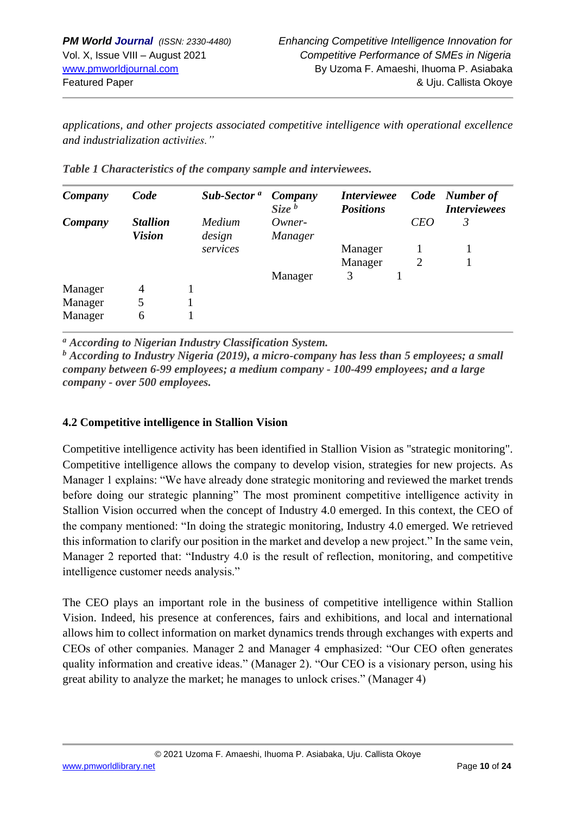*applications, and other projects associated competitive intelligence with operational excellence and industrialization activities."*

| Company | Code                             | Sub-Sector <sup>a</sup> | Company<br>Size <sup>b</sup> | <i><b>Interviewee</b></i><br><b>Positions</b> |                | Code Number of<br><b>Interviewees</b> |
|---------|----------------------------------|-------------------------|------------------------------|-----------------------------------------------|----------------|---------------------------------------|
| Company | <b>Stallion</b><br><b>Vision</b> | Medium<br>design        | Owner-<br><i>Manager</i>     |                                               | <b>CEO</b>     | 3                                     |
|         |                                  | services                |                              | Manager                                       |                |                                       |
|         |                                  |                         |                              | Manager                                       | $\overline{2}$ |                                       |
|         |                                  |                         | Manager                      | 3                                             |                |                                       |
| Manager | 4                                |                         |                              |                                               |                |                                       |
| Manager | 5                                |                         |                              |                                               |                |                                       |
| Manager | 6                                |                         |                              |                                               |                |                                       |

| Table 1 Characteristics of the company sample and interviewees. |  |  |  |
|-----------------------------------------------------------------|--|--|--|
|                                                                 |  |  |  |

*<sup>a</sup> According to Nigerian Industry Classification System.* 

*<sup>b</sup> According to Industry Nigeria (2019), a micro-company has less than 5 employees; a small company between 6-99 employees; a medium company - 100-499 employees; and a large company - over 500 employees.*

## **4.2 Competitive intelligence in Stallion Vision**

Competitive intelligence activity has been identified in Stallion Vision as "strategic monitoring". Competitive intelligence allows the company to develop vision, strategies for new projects. As Manager 1 explains: "We have already done strategic monitoring and reviewed the market trends before doing our strategic planning" The most prominent competitive intelligence activity in Stallion Vision occurred when the concept of Industry 4.0 emerged. In this context, the CEO of the company mentioned: "In doing the strategic monitoring, Industry 4.0 emerged. We retrieved this information to clarify our position in the market and develop a new project." In the same vein, Manager 2 reported that: "Industry 4.0 is the result of reflection, monitoring, and competitive intelligence customer needs analysis."

The CEO plays an important role in the business of competitive intelligence within Stallion Vision. Indeed, his presence at conferences, fairs and exhibitions, and local and international allows him to collect information on market dynamics trends through exchanges with experts and CEOs of other companies. Manager 2 and Manager 4 emphasized: "Our CEO often generates quality information and creative ideas." (Manager 2). "Our CEO is a visionary person, using his great ability to analyze the market; he manages to unlock crises." (Manager 4)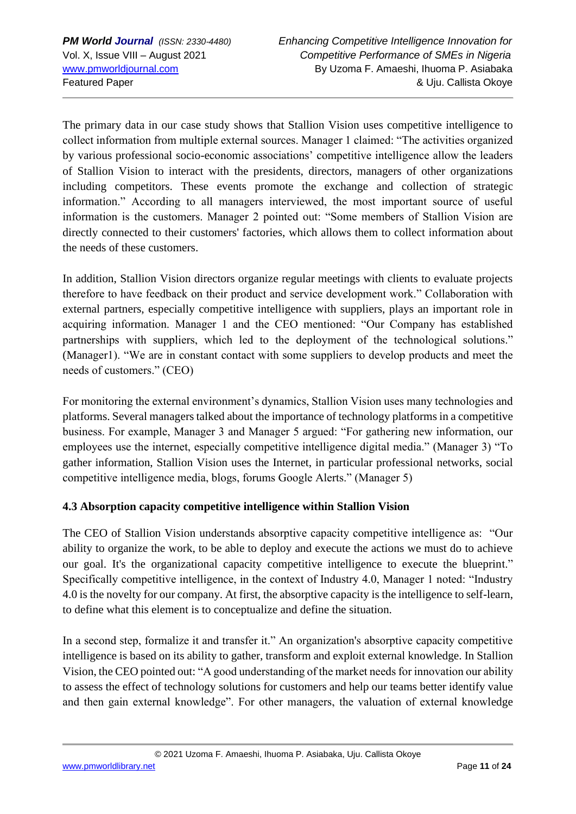The primary data in our case study shows that Stallion Vision uses competitive intelligence to collect information from multiple external sources. Manager 1 claimed: "The activities organized by various professional socio-economic associations' competitive intelligence allow the leaders of Stallion Vision to interact with the presidents, directors, managers of other organizations including competitors. These events promote the exchange and collection of strategic information." According to all managers interviewed, the most important source of useful information is the customers. Manager 2 pointed out: "Some members of Stallion Vision are directly connected to their customers' factories, which allows them to collect information about the needs of these customers.

In addition, Stallion Vision directors organize regular meetings with clients to evaluate projects therefore to have feedback on their product and service development work." Collaboration with external partners, especially competitive intelligence with suppliers, plays an important role in acquiring information. Manager 1 and the CEO mentioned: "Our Company has established partnerships with suppliers, which led to the deployment of the technological solutions." (Manager1). "We are in constant contact with some suppliers to develop products and meet the needs of customers." (CEO)

For monitoring the external environment's dynamics, Stallion Vision uses many technologies and platforms. Several managers talked about the importance of technology platforms in a competitive business. For example, Manager 3 and Manager 5 argued: "For gathering new information, our employees use the internet, especially competitive intelligence digital media." (Manager 3) "To gather information, Stallion Vision uses the Internet, in particular professional networks, social competitive intelligence media, blogs, forums Google Alerts." (Manager 5)

## **4.3 Absorption capacity competitive intelligence within Stallion Vision**

The CEO of Stallion Vision understands absorptive capacity competitive intelligence as: "Our ability to organize the work, to be able to deploy and execute the actions we must do to achieve our goal. It's the organizational capacity competitive intelligence to execute the blueprint." Specifically competitive intelligence, in the context of Industry 4.0, Manager 1 noted: "Industry 4.0 is the novelty for our company. At first, the absorptive capacity is the intelligence to self-learn, to define what this element is to conceptualize and define the situation.

In a second step, formalize it and transfer it." An organization's absorptive capacity competitive intelligence is based on its ability to gather, transform and exploit external knowledge. In Stallion Vision, the CEO pointed out: "A good understanding of the market needs for innovation our ability to assess the effect of technology solutions for customers and help our teams better identify value and then gain external knowledge". For other managers, the valuation of external knowledge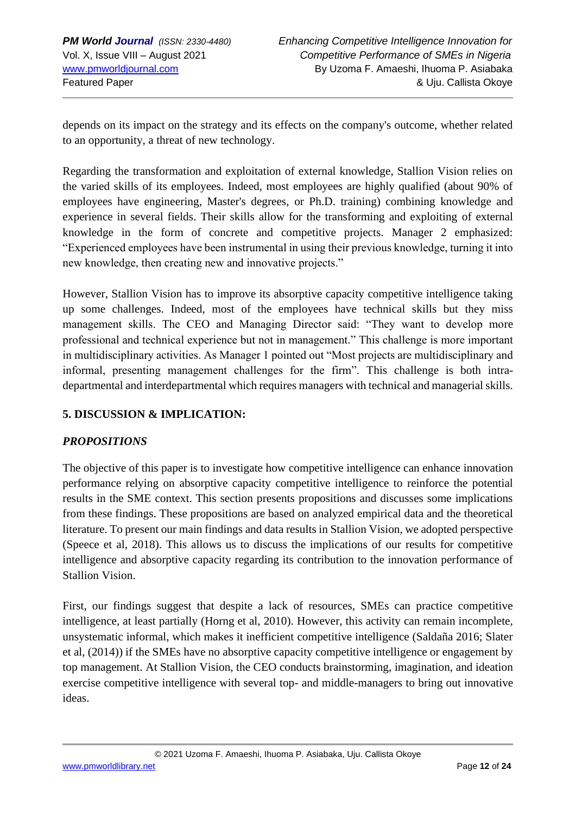depends on its impact on the strategy and its effects on the company's outcome, whether related to an opportunity, a threat of new technology.

Regarding the transformation and exploitation of external knowledge, Stallion Vision relies on the varied skills of its employees. Indeed, most employees are highly qualified (about 90% of employees have engineering, Master's degrees, or Ph.D. training) combining knowledge and experience in several fields. Their skills allow for the transforming and exploiting of external knowledge in the form of concrete and competitive projects. Manager 2 emphasized: "Experienced employees have been instrumental in using their previous knowledge, turning it into new knowledge, then creating new and innovative projects."

However, Stallion Vision has to improve its absorptive capacity competitive intelligence taking up some challenges. Indeed, most of the employees have technical skills but they miss management skills. The CEO and Managing Director said: "They want to develop more professional and technical experience but not in management." This challenge is more important in multidisciplinary activities. As Manager 1 pointed out "Most projects are multidisciplinary and informal, presenting management challenges for the firm". This challenge is both intradepartmental and interdepartmental which requires managers with technical and managerial skills.

## **5. DISCUSSION & IMPLICATION:**

## *PROPOSITIONS*

The objective of this paper is to investigate how competitive intelligence can enhance innovation performance relying on absorptive capacity competitive intelligence to reinforce the potential results in the SME context. This section presents propositions and discusses some implications from these findings. These propositions are based on analyzed empirical data and the theoretical literature. To present our main findings and data results in Stallion Vision, we adopted perspective (Speece et al, 2018). This allows us to discuss the implications of our results for competitive intelligence and absorptive capacity regarding its contribution to the innovation performance of Stallion Vision.

First, our findings suggest that despite a lack of resources, SMEs can practice competitive intelligence, at least partially (Horng et al, 2010). However, this activity can remain incomplete, unsystematic informal, which makes it inefficient competitive intelligence (Saldaña 2016; Slater et al, (2014)) if the SMEs have no absorptive capacity competitive intelligence or engagement by top management. At Stallion Vision, the CEO conducts brainstorming, imagination, and ideation exercise competitive intelligence with several top- and middle-managers to bring out innovative ideas.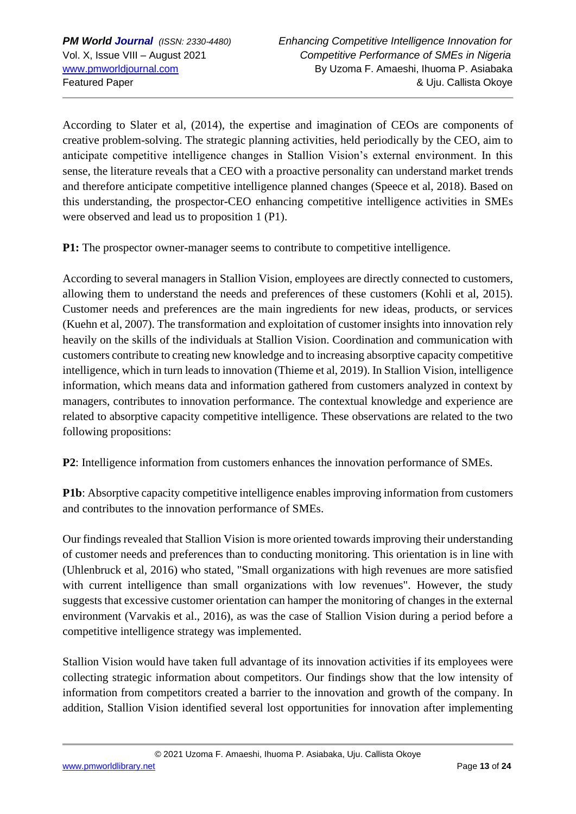According to Slater et al, (2014), the expertise and imagination of CEOs are components of creative problem-solving. The strategic planning activities, held periodically by the CEO, aim to anticipate competitive intelligence changes in Stallion Vision's external environment. In this sense, the literature reveals that a CEO with a proactive personality can understand market trends and therefore anticipate competitive intelligence planned changes (Speece et al, 2018). Based on this understanding, the prospector-CEO enhancing competitive intelligence activities in SMEs were observed and lead us to proposition 1 (P1).

**P1:** The prospector owner-manager seems to contribute to competitive intelligence.

According to several managers in Stallion Vision, employees are directly connected to customers, allowing them to understand the needs and preferences of these customers (Kohli et al, 2015). Customer needs and preferences are the main ingredients for new ideas, products, or services (Kuehn et al, 2007). The transformation and exploitation of customer insights into innovation rely heavily on the skills of the individuals at Stallion Vision. Coordination and communication with customers contribute to creating new knowledge and to increasing absorptive capacity competitive intelligence, which in turn leads to innovation (Thieme et al, 2019). In Stallion Vision, intelligence information, which means data and information gathered from customers analyzed in context by managers, contributes to innovation performance. The contextual knowledge and experience are related to absorptive capacity competitive intelligence. These observations are related to the two following propositions:

**P2**: Intelligence information from customers enhances the innovation performance of SMEs.

**P1b**: Absorptive capacity competitive intelligence enables improving information from customers and contributes to the innovation performance of SMEs.

Our findings revealed that Stallion Vision is more oriented towards improving their understanding of customer needs and preferences than to conducting monitoring. This orientation is in line with (Uhlenbruck et al, 2016) who stated, "Small organizations with high revenues are more satisfied with current intelligence than small organizations with low revenues". However, the study suggests that excessive customer orientation can hamper the monitoring of changes in the external environment (Varvakis et al., 2016), as was the case of Stallion Vision during a period before a competitive intelligence strategy was implemented.

Stallion Vision would have taken full advantage of its innovation activities if its employees were collecting strategic information about competitors. Our findings show that the low intensity of information from competitors created a barrier to the innovation and growth of the company. In addition, Stallion Vision identified several lost opportunities for innovation after implementing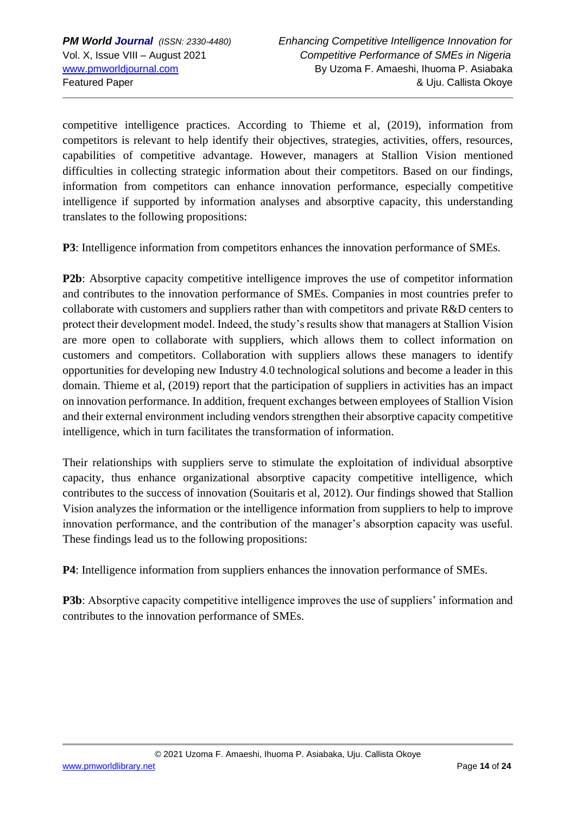competitive intelligence practices. According to Thieme et al*,* (2019), information from competitors is relevant to help identify their objectives, strategies, activities, offers, resources, capabilities of competitive advantage. However, managers at Stallion Vision mentioned difficulties in collecting strategic information about their competitors. Based on our findings, information from competitors can enhance innovation performance, especially competitive intelligence if supported by information analyses and absorptive capacity, this understanding translates to the following propositions:

**P3**: Intelligence information from competitors enhances the innovation performance of SMEs*.*

**P2b**: Absorptive capacity competitive intelligence improves the use of competitor information and contributes to the innovation performance of SMEs. Companies in most countries prefer to collaborate with customers and suppliers rather than with competitors and private R&D centers to protect their development model. Indeed, the study's results show that managers at Stallion Vision are more open to collaborate with suppliers, which allows them to collect information on customers and competitors. Collaboration with suppliers allows these managers to identify opportunities for developing new Industry 4.0 technological solutions and become a leader in this domain. Thieme et al, (2019) report that the participation of suppliers in activities has an impact on innovation performance. In addition, frequent exchanges between employees of Stallion Vision and their external environment including vendors strengthen their absorptive capacity competitive intelligence, which in turn facilitates the transformation of information.

Their relationships with suppliers serve to stimulate the exploitation of individual absorptive capacity, thus enhance organizational absorptive capacity competitive intelligence, which contributes to the success of innovation (Souitaris et al, 2012). Our findings showed that Stallion Vision analyzes the information or the intelligence information from suppliers to help to improve innovation performance, and the contribution of the manager's absorption capacity was useful. These findings lead us to the following propositions:

**P4**: Intelligence information from suppliers enhances the innovation performance of SMEs.

**P3b**: Absorptive capacity competitive intelligence improves the use of suppliers' information and contributes to the innovation performance of SMEs.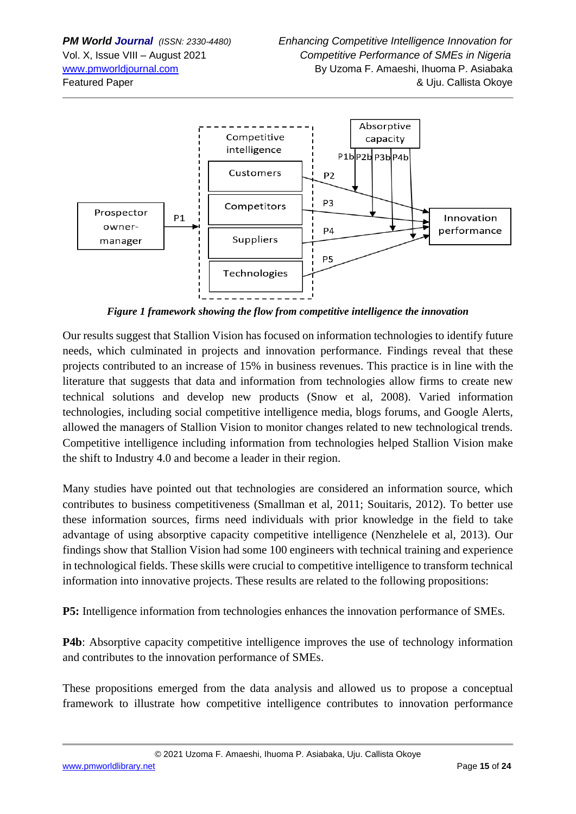

*Figure 1 framework showing the flow from competitive intelligence the innovation*

Our results suggest that Stallion Vision has focused on information technologies to identify future needs, which culminated in projects and innovation performance. Findings reveal that these projects contributed to an increase of 15% in business revenues. This practice is in line with the literature that suggests that data and information from technologies allow firms to create new technical solutions and develop new products (Snow et al, 2008). Varied information technologies, including social competitive intelligence media, blogs forums, and Google Alerts, allowed the managers of Stallion Vision to monitor changes related to new technological trends. Competitive intelligence including information from technologies helped Stallion Vision make the shift to Industry 4.0 and become a leader in their region.

Many studies have pointed out that technologies are considered an information source, which contributes to business competitiveness (Smallman et al, 2011; Souitaris, 2012). To better use these information sources, firms need individuals with prior knowledge in the field to take advantage of using absorptive capacity competitive intelligence (Nenzhelele et al, 2013). Our findings show that Stallion Vision had some 100 engineers with technical training and experience in technological fields. These skills were crucial to competitive intelligence to transform technical information into innovative projects. These results are related to the following propositions:

**P5:** Intelligence information from technologies enhances the innovation performance of SMEs*.*

**P4b**: Absorptive capacity competitive intelligence improves the use of technology information and contributes to the innovation performance of SMEs.

These propositions emerged from the data analysis and allowed us to propose a conceptual framework to illustrate how competitive intelligence contributes to innovation performance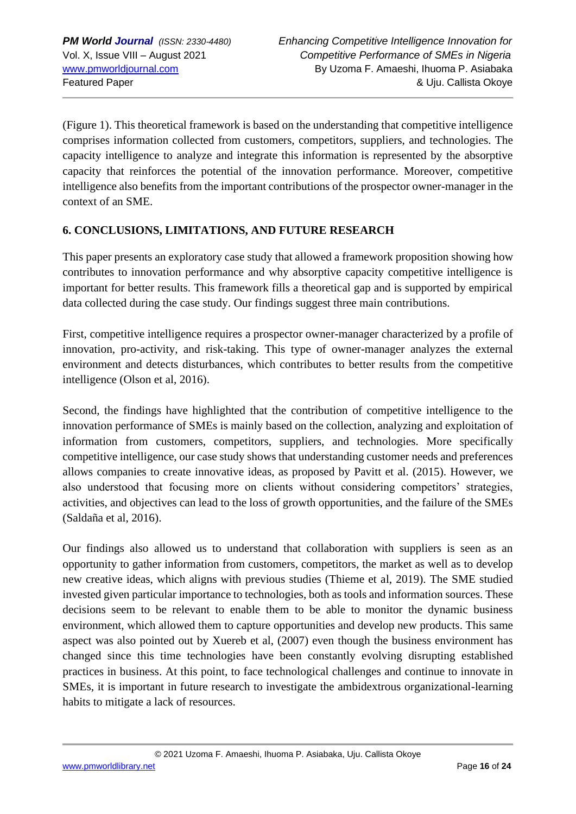(Figure 1). This theoretical framework is based on the understanding that competitive intelligence comprises information collected from customers, competitors, suppliers, and technologies. The capacity intelligence to analyze and integrate this information is represented by the absorptive capacity that reinforces the potential of the innovation performance. Moreover, competitive intelligence also benefits from the important contributions of the prospector owner-manager in the context of an SME.

## **6. CONCLUSIONS, LIMITATIONS, AND FUTURE RESEARCH**

This paper presents an exploratory case study that allowed a framework proposition showing how contributes to innovation performance and why absorptive capacity competitive intelligence is important for better results. This framework fills a theoretical gap and is supported by empirical data collected during the case study. Our findings suggest three main contributions.

First, competitive intelligence requires a prospector owner-manager characterized by a profile of innovation, pro-activity, and risk-taking. This type of owner-manager analyzes the external environment and detects disturbances, which contributes to better results from the competitive intelligence (Olson et al, 2016).

Second, the findings have highlighted that the contribution of competitive intelligence to the innovation performance of SMEs is mainly based on the collection, analyzing and exploitation of information from customers, competitors, suppliers, and technologies. More specifically competitive intelligence, our case study shows that understanding customer needs and preferences allows companies to create innovative ideas, as proposed by Pavitt et al. (2015). However, we also understood that focusing more on clients without considering competitors' strategies, activities, and objectives can lead to the loss of growth opportunities, and the failure of the SMEs (Saldaña et al, 2016).

Our findings also allowed us to understand that collaboration with suppliers is seen as an opportunity to gather information from customers, competitors, the market as well as to develop new creative ideas, which aligns with previous studies (Thieme et al, 2019). The SME studied invested given particular importance to technologies, both as tools and information sources. These decisions seem to be relevant to enable them to be able to monitor the dynamic business environment, which allowed them to capture opportunities and develop new products. This same aspect was also pointed out by Xuereb et al, (2007) even though the business environment has changed since this time technologies have been constantly evolving disrupting established practices in business. At this point, to face technological challenges and continue to innovate in SMEs, it is important in future research to investigate the ambidextrous organizational-learning habits to mitigate a lack of resources.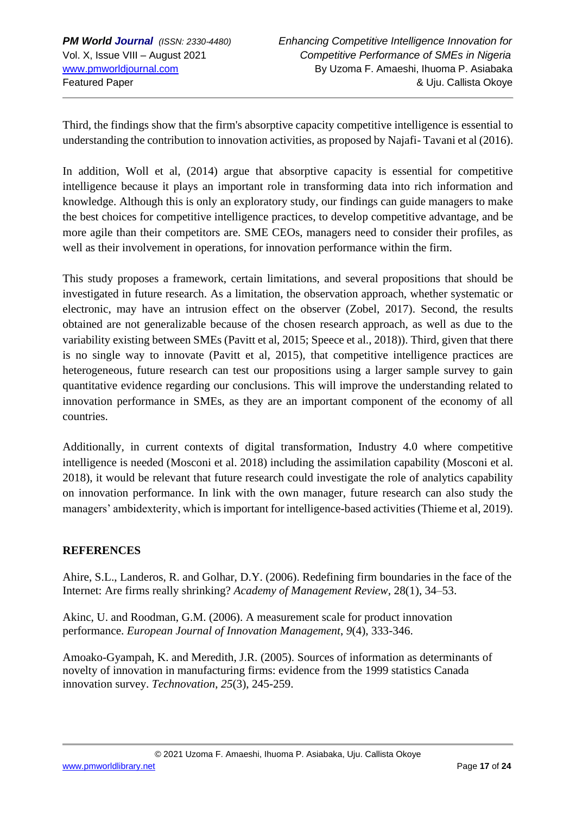Third, the findings show that the firm's absorptive capacity competitive intelligence is essential to understanding the contribution to innovation activities, as proposed by Najafi- Tavani et al (2016).

In addition, Woll et al, (2014) argue that absorptive capacity is essential for competitive intelligence because it plays an important role in transforming data into rich information and knowledge. Although this is only an exploratory study, our findings can guide managers to make the best choices for competitive intelligence practices, to develop competitive advantage, and be more agile than their competitors are. SME CEOs, managers need to consider their profiles, as well as their involvement in operations, for innovation performance within the firm.

This study proposes a framework, certain limitations, and several propositions that should be investigated in future research. As a limitation, the observation approach, whether systematic or electronic, may have an intrusion effect on the observer (Zobel, 2017). Second, the results obtained are not generalizable because of the chosen research approach, as well as due to the variability existing between SMEs (Pavitt et al, 2015; Speece et al., 2018)). Third, given that there is no single way to innovate (Pavitt et al, 2015), that competitive intelligence practices are heterogeneous, future research can test our propositions using a larger sample survey to gain quantitative evidence regarding our conclusions. This will improve the understanding related to innovation performance in SMEs, as they are an important component of the economy of all countries.

Additionally, in current contexts of digital transformation, Industry 4.0 where competitive intelligence is needed (Mosconi et al. 2018) including the assimilation capability (Mosconi et al. 2018), it would be relevant that future research could investigate the role of analytics capability on innovation performance. In link with the own manager, future research can also study the managers' ambidexterity, which is important for intelligence-based activities (Thieme et al, 2019).

## **REFERENCES**

Ahire, S.L., Landeros, R. and Golhar, D.Y. (2006). Redefining firm boundaries in the face of the Internet: Are firms really shrinking? *Academy of Management Review*, 28(1), 34–53.

Akinc, U. and Roodman, G.M. (2006). A measurement scale for product innovation performance. *European Journal of Innovation Management*, *9*(4), 333-346.

Amoako-Gyampah, K. and Meredith, J.R. (2005). Sources of information as determinants of novelty of innovation in manufacturing firms: evidence from the 1999 statistics Canada innovation survey. *Technovation*, *25*(3), 245-259.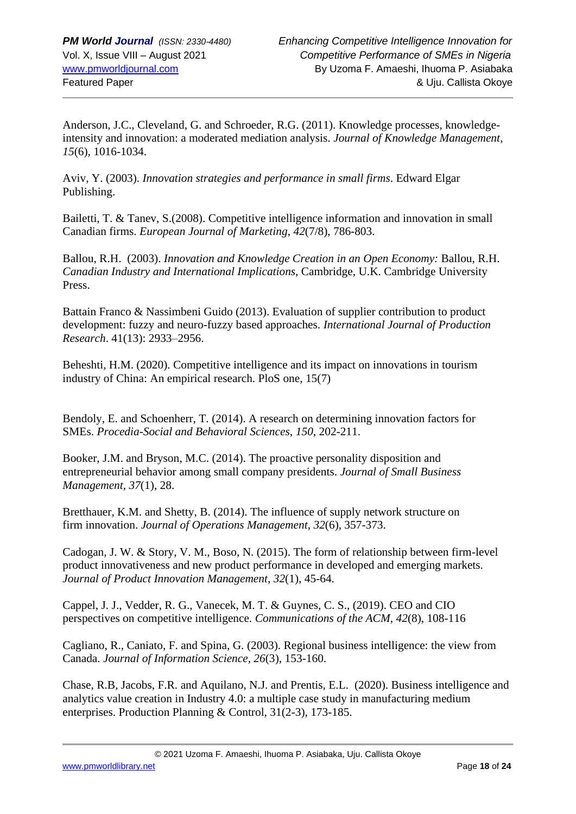Anderson, J.C., Cleveland, G. and Schroeder, R.G. (2011). Knowledge processes, knowledgeintensity and innovation: a moderated mediation analysis. *Journal of Knowledge Management*, *15*(6), 1016-1034.

Aviv, Y. (2003). *Innovation strategies and performance in small firms*. Edward Elgar Publishing.

Bailetti, T. & Tanev, S.(2008). Competitive intelligence information and innovation in small Canadian firms. *European Journal of Marketing*, *42*(7/8), 786-803.

Ballou, R.H. (2003). *Innovation and Knowledge Creation in an Open Economy:* Ballou, R.H. *Canadian Industry and International Implications*, Cambridge, U.K. Cambridge University Press.

Battain Franco & Nassimbeni Guido (2013). Evaluation of supplier contribution to product development: fuzzy and neuro-fuzzy based approaches. *International Journal of Production Research*. 41(13): 2933–2956.

Beheshti, H.M. (2020). Competitive intelligence and its impact on innovations in tourism industry of China: An empirical research. PloS one, 15(7)

Bendoly, E. and Schoenherr, T. (2014). A research on determining innovation factors for SMEs. *Procedia-Social and Behavioral Sciences*, *150*, 202-211.

Booker, J.M. and Bryson, M.C. (2014). The proactive personality disposition and entrepreneurial behavior among small company presidents. *Journal of Small Business Management*, *37*(1), 28.

Bretthauer, K.M. and Shetty, B. (2014). The influence of supply network structure on firm innovation. *Journal of Operations Management*, *32*(6), 357-373.

Cadogan, J. W. & Story, V. M., Boso, N. (2015). The form of relationship between firm-level product innovativeness and new product performance in developed and emerging markets. *Journal of Product Innovation Management*, *32*(1), 45-64.

Cappel, J. J., Vedder, R. G., Vanecek, M. T. & Guynes, C. S., (2019). CEO and CIO perspectives on competitive intelligence. *Communications of the ACM*, *42*(8), 108-116

Cagliano, R., Caniato, F. and Spina, G. (2003). Regional business intelligence: the view from Canada. *Journal of Information Science*, *26*(3), 153-160.

Chase, R.B, Jacobs, F.R. and Aquilano, N.J. and Prentis, E.L. (2020). Business intelligence and analytics value creation in Industry 4.0: a multiple case study in manufacturing medium enterprises. Production Planning & Control, 31(2-3), 173-185.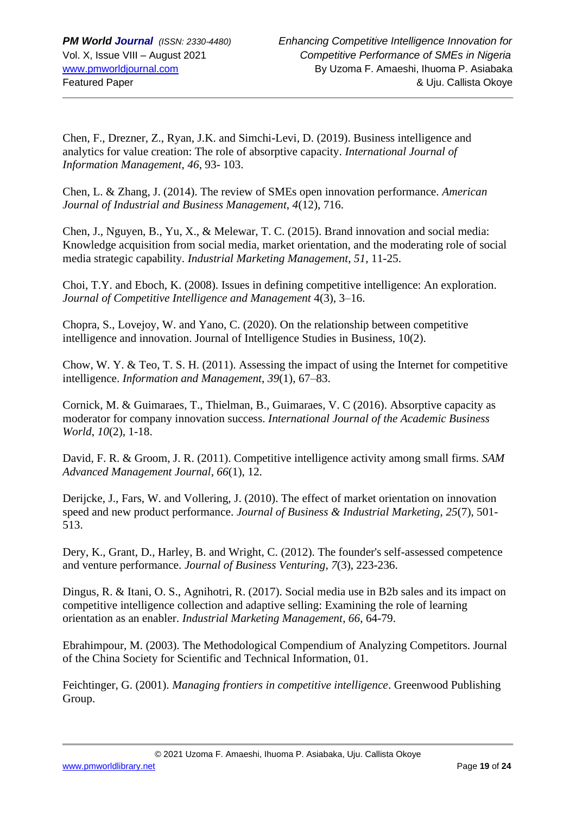Chen, F., Drezner, Z., Ryan, J.K. and Simchi-Levi, D. (2019). Business intelligence and analytics for value creation: The role of absorptive capacity. *International Journal of Information Management*, *46*, 93- 103.

Chen, L. & Zhang, J. (2014). The review of SMEs open innovation performance. *American Journal of Industrial and Business Management*, *4*(12), 716.

Chen, J., Nguyen, B., Yu, X., & Melewar, T. C. (2015). Brand innovation and social media: Knowledge acquisition from social media, market orientation, and the moderating role of social media strategic capability. *Industrial Marketing Management*, *51*, 11-25.

Choi, T.Y. and Eboch, K. (2008). Issues in defining competitive intelligence: An exploration. *Journal of Competitive Intelligence and Management* 4(3), 3–16.

Chopra, S., Lovejoy, W. and Yano, C. (2020). On the relationship between competitive intelligence and innovation. Journal of Intelligence Studies in Business, 10(2).

Chow, W. Y. & Teo, T. S. H. (2011). Assessing the impact of using the Internet for competitive intelligence. *Information and Management*, *39*(1), 67–83.

Cornick, M. & Guimaraes, T., Thielman, B., Guimaraes, V. C (2016). Absorptive capacity as moderator for company innovation success. *International Journal of the Academic Business World*, *10*(2), 1-18.

David, F. R. & Groom, J. R. (2011). Competitive intelligence activity among small firms. *SAM Advanced Management Journal*, *66*(1), 12.

Derijcke, J., Fars, W. and Vollering, J. (2010). The effect of market orientation on innovation speed and new product performance. *Journal of Business & Industrial Marketing*, *25*(7), 501- 513.

Dery, K., Grant, D., Harley, B. and Wright, C. (2012). The founder's self-assessed competence and venture performance. *Journal of Business Venturing*, *7*(3), 223-236.

Dingus, R. & Itani, O. S., Agnihotri, R. (2017). Social media use in B2b sales and its impact on competitive intelligence collection and adaptive selling: Examining the role of learning orientation as an enabler. *Industrial Marketing Management*, *66*, 64-79.

Ebrahimpour, M. (2003). The Methodological Compendium of Analyzing Competitors. Journal of the China Society for Scientific and Technical Information, 01.

Feichtinger, G. (2001). *Managing frontiers in competitive intelligence*. Greenwood Publishing Group.

© 2021 Uzoma F. Amaeshi, Ihuoma P. Asiabaka, Uju. Callista Okoye

[www.pmworldlibrary.net](http://www.pmworldlibrary.net/) Page **19** of **24**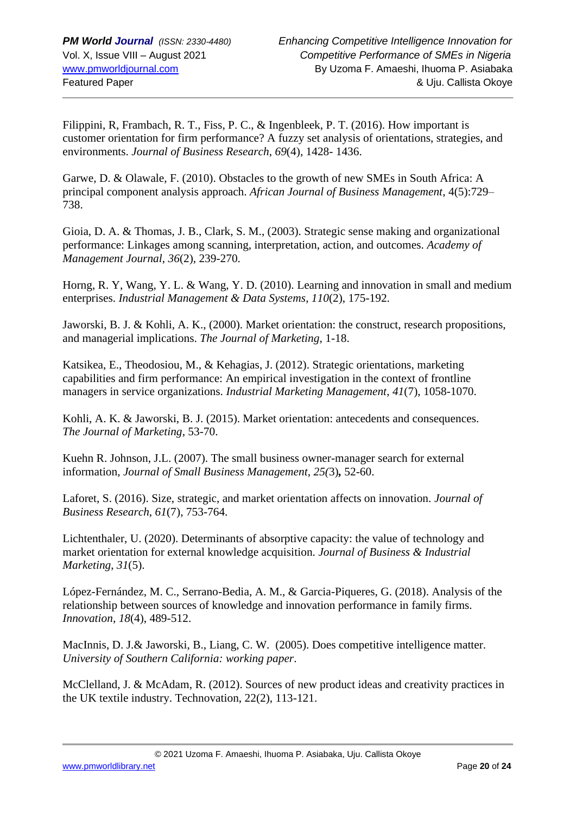Filippini, R, Frambach, R. T., Fiss, P. C., & Ingenbleek, P. T. (2016). How important is customer orientation for firm performance? A fuzzy set analysis of orientations, strategies, and environments. *Journal of Business Research*, *69*(4), 1428- 1436.

Garwe, D. & Olawale, F. (2010). Obstacles to the growth of new SMEs in South Africa: A principal component analysis approach. *African Journal of Business Management*, 4(5):729– 738.

Gioia, D. A. & Thomas, J. B., Clark, S. M., (2003). Strategic sense making and organizational performance: Linkages among scanning, interpretation, action, and outcomes. *Academy of Management Journal*, *36*(2), 239-270.

Horng, R. Y, Wang, Y. L. & Wang, Y. D. (2010). Learning and innovation in small and medium enterprises. *Industrial Management & Data Systems*, *110*(2), 175-192.

Jaworski, B. J. & Kohli, A. K., (2000). Market orientation: the construct, research propositions, and managerial implications. *The Journal of Marketing*, 1-18.

Katsikea, E., Theodosiou, M., & Kehagias, J. (2012). Strategic orientations, marketing capabilities and firm performance: An empirical investigation in the context of frontline managers in service organizations. *Industrial Marketing Management*, *41*(7), 1058-1070.

Kohli, A. K. & Jaworski, B. J. (2015). Market orientation: antecedents and consequences. *The Journal of Marketing*, 53-70.

Kuehn R. Johnson, J.L. (2007). The small business owner-manager search for external information, *Journal of Small Business Management*, *25(*3)*,* 52-60.

Laforet, S. (2016). Size, strategic, and market orientation affects on innovation. *Journal of Business Research*, *61*(7), 753-764.

Lichtenthaler, U. (2020). Determinants of absorptive capacity: the value of technology and market orientation for external knowledge acquisition. *Journal of Business & Industrial Marketing*, *31*(5).

López-Fernández, M. C., Serrano-Bedia, A. M., & Garcia-Piqueres, G. (2018). Analysis of the relationship between sources of knowledge and innovation performance in family firms. *Innovation*, *18*(4), 489-512.

MacInnis, D. J.& Jaworski, B., Liang, C. W. (2005). Does competitive intelligence matter. *University of Southern California: working paper*.

McClelland, J. & McAdam, R. (2012). Sources of new product ideas and creativity practices in the UK textile industry. Technovation, 22(2), 113-121.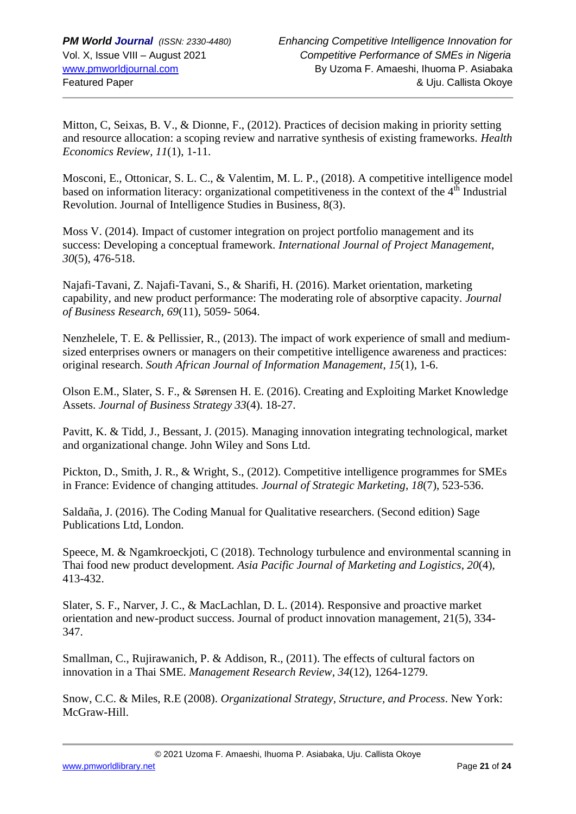Mitton, C, Seixas, B. V., & Dionne, F., (2012). Practices of decision making in priority setting and resource allocation: a scoping review and narrative synthesis of existing frameworks. *Health Economics Review*, *11*(1), 1-11.

Mosconi, E., Ottonicar, S. L. C., & Valentim, M. L. P., (2018). A competitive intelligence model based on information literacy: organizational competitiveness in the context of the  $4<sup>th</sup>$  Industrial Revolution. Journal of Intelligence Studies in Business, 8(3).

Moss V. (2014). Impact of customer integration on project portfolio management and its success: Developing a conceptual framework. *International Journal of Project Management*, *30*(5), 476-518.

Najafi-Tavani, Z. Najafi-Tavani, S., & Sharifi, H. (2016). Market orientation, marketing capability, and new product performance: The moderating role of absorptive capacity. *Journal of Business Research*, *69*(11), 5059- 5064.

Nenzhelele, T. E. & Pellissier, R., (2013). The impact of work experience of small and mediumsized enterprises owners or managers on their competitive intelligence awareness and practices: original research. *South African Journal of Information Management*, *15*(1), 1-6.

Olson E.M., Slater, S. F., & Sørensen H. E. (2016). Creating and Exploiting Market Knowledge Assets. *Journal of Business Strategy 33*(4). 18-27.

Pavitt, K. & Tidd, J., Bessant, J. (2015). Managing innovation integrating technological, market and organizational change. John Wiley and Sons Ltd.

Pickton, D., Smith, J. R., & Wright, S., (2012). Competitive intelligence programmes for SMEs in France: Evidence of changing attitudes. *Journal of Strategic Marketing*, *18*(7), 523-536.

Saldaña, J. (2016). The Coding Manual for Qualitative researchers. (Second edition) Sage Publications Ltd, London.

Speece, M. & Ngamkroeckjoti, C (2018). Technology turbulence and environmental scanning in Thai food new product development. *Asia Pacific Journal of Marketing and Logistics*, *20*(4), 413-432.

Slater, S. F., Narver, J. C., & MacLachlan, D. L. (2014). Responsive and proactive market orientation and new-product success. Journal of product innovation management, 21(5), 334- 347.

Smallman, C., Rujirawanich, P. & Addison, R., (2011). The effects of cultural factors on innovation in a Thai SME. *Management Research Review*, *34*(12), 1264-1279.

Snow, C.C. & Miles, R.E (2008). *Organizational Strategy, Structure, and Process*. New York: McGraw-Hill.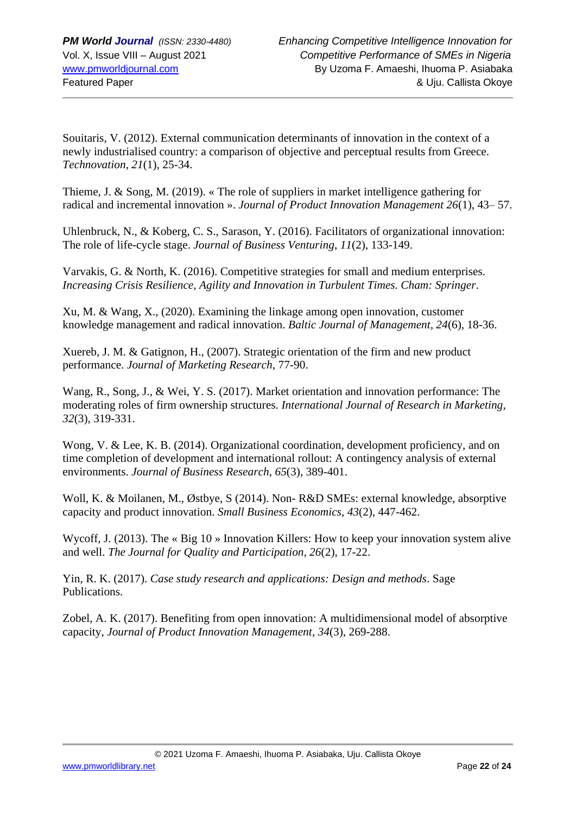Souitaris, V. (2012). External communication determinants of innovation in the context of a newly industrialised country: a comparison of objective and perceptual results from Greece. *Technovation*, *21*(1), 25-34.

Thieme, J. & Song, M. (2019). « The role of suppliers in market intelligence gathering for radical and incremental innovation ». *Journal of Product Innovation Management 26*(1), 43– 57.

Uhlenbruck, N., & Koberg, C. S., Sarason, Y. (2016). Facilitators of organizational innovation: The role of life-cycle stage. *Journal of Business Venturing*, *11*(2), 133-149.

Varvakis, G. & North, K. (2016). Competitive strategies for small and medium enterprises. *Increasing Crisis Resilience, Agility and Innovation in Turbulent Times. Cham: Springer*.

Xu, M. & Wang, X., (2020). Examining the linkage among open innovation, customer knowledge management and radical innovation. *Baltic Journal of Management, 24*(6), 18-36.

Xuereb, J. M. & Gatignon, H., (2007). Strategic orientation of the firm and new product performance. *Journal of Marketing Research*, 77-90.

Wang, R., Song, J., & Wei, Y. S. (2017). Market orientation and innovation performance: The moderating roles of firm ownership structures. *International Journal of Research in Marketing*, *32*(3), 319-331.

Wong, V. & Lee, K. B. (2014). Organizational coordination, development proficiency, and on time completion of development and international rollout: A contingency analysis of external environments. *Journal of Business Research*, *65*(3), 389-401.

Woll, K. & Moilanen, M., Østbye, S (2014). Non- R&D SMEs: external knowledge, absorptive capacity and product innovation. *Small Business Economics*, *43*(2), 447-462.

Wycoff, J. (2013). The « Big 10 » Innovation Killers: How to keep your innovation system alive and well. *The Journal for Quality and Participation, 26*(2), 17-22.

Yin, R. K. (2017). *Case study research and applications: Design and methods*. Sage Publications.

Zobel, A. K. (2017). Benefiting from open innovation: A multidimensional model of absorptive capacity, *Journal of Product Innovation Management*, *34*(3), 269-288.

[www.pmworldlibrary.net](http://www.pmworldlibrary.net/) Page **22** of **24**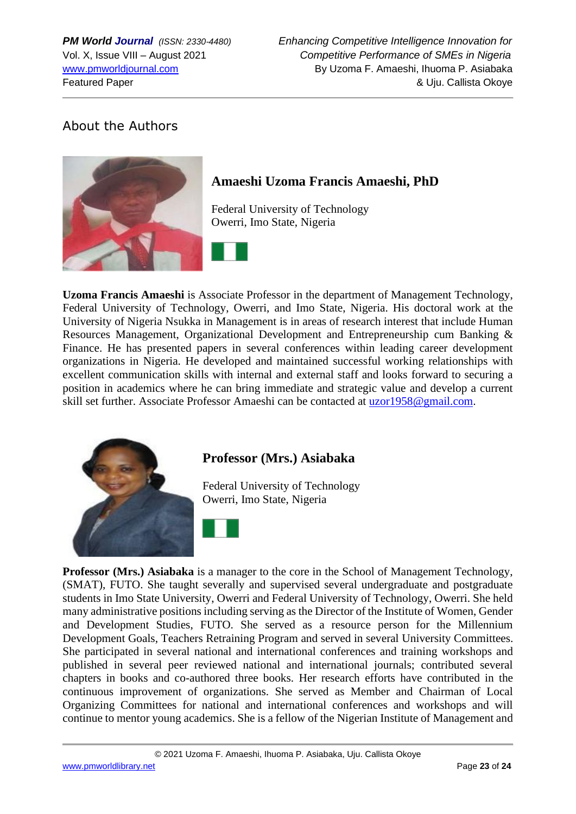## About the Authors



## **Amaeshi Uzoma Francis Amaeshi, PhD**

Federal University of Technology Owerri, Imo State, Nigeria



**Uzoma Francis Amaeshi** is Associate Professor in the department of Management Technology, Federal University of Technology, Owerri, and Imo State, Nigeria. His doctoral work at the University of Nigeria Nsukka in Management is in areas of research interest that include Human Resources Management, Organizational Development and Entrepreneurship cum Banking & Finance. He has presented papers in several conferences within leading career development organizations in Nigeria. He developed and maintained successful working relationships with excellent communication skills with internal and external staff and looks forward to securing a position in academics where he can bring immediate and strategic value and develop a current skill set further. Associate Professor Amaeshi can be contacted at [uzor1958@gmail.com.](mailto:uzor1958@gmail.com)



## **Professor (Mrs.) Asiabaka**

Federal University of Technology Owerri, Imo State, Nigeria



**Professor (Mrs.) Asiabaka** is a manager to the core in the School of Management Technology, (SMAT), FUTO. She taught severally and supervised several undergraduate and postgraduate students in Imo State University, Owerri and Federal University of Technology, Owerri. She held many administrative positions including serving as the Director of the Institute of Women, Gender and Development Studies, FUTO. She served as a resource person for the Millennium Development Goals, Teachers Retraining Program and served in several University Committees. She participated in several national and international conferences and training workshops and published in several peer reviewed national and international journals; contributed several chapters in books and co-authored three books. Her research efforts have contributed in the continuous improvement of organizations. She served as Member and Chairman of Local Organizing Committees for national and international conferences and workshops and will continue to mentor young academics. She is a fellow of the Nigerian Institute of Management and